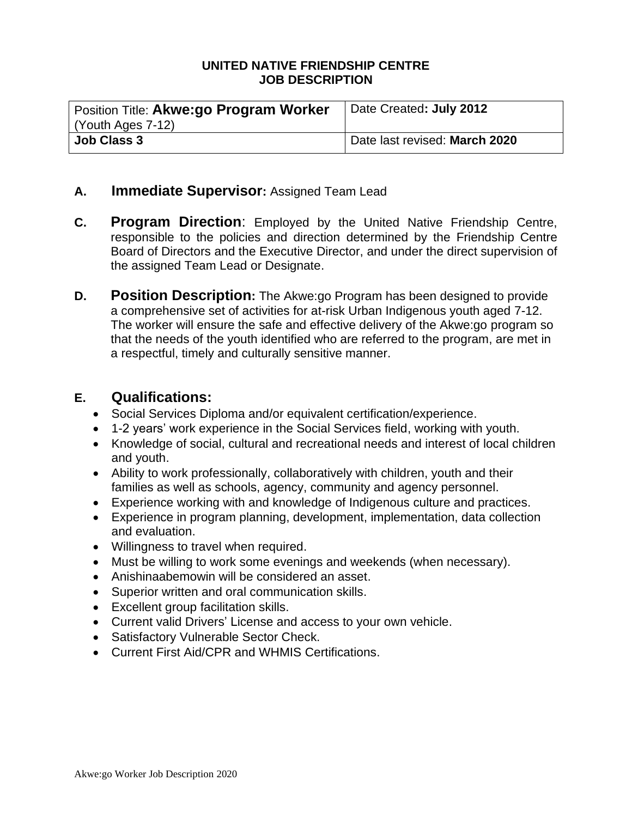#### **UNITED NATIVE FRIENDSHIP CENTRE JOB DESCRIPTION**

| Position Title: Akwe:go Program Worker | Date Created: July 2012       |
|----------------------------------------|-------------------------------|
| (Youth Ages 7-12)                      |                               |
| <b>Job Class 3</b>                     | Date last revised: March 2020 |

### **A. Immediate Supervisor:** Assigned Team Lead

- **C. Program Direction**: Employed by the United Native Friendship Centre, responsible to the policies and direction determined by the Friendship Centre Board of Directors and the Executive Director, and under the direct supervision of the assigned Team Lead or Designate.
- **D. Position Description:** The Akwe:go Program has been designed to provide a comprehensive set of activities for at-risk Urban Indigenous youth aged 7-12. The worker will ensure the safe and effective delivery of the Akwe:go program so that the needs of the youth identified who are referred to the program, are met in a respectful, timely and culturally sensitive manner.

#### **E. Qualifications:**

- Social Services Diploma and/or equivalent certification/experience.
- 1-2 years' work experience in the Social Services field, working with youth.
- Knowledge of social, cultural and recreational needs and interest of local children and youth.
- Ability to work professionally, collaboratively with children, youth and their families as well as schools, agency, community and agency personnel.
- Experience working with and knowledge of Indigenous culture and practices.
- Experience in program planning, development, implementation, data collection and evaluation.
- Willingness to travel when required.
- Must be willing to work some evenings and weekends (when necessary).
- Anishinaabemowin will be considered an asset.
- Superior written and oral communication skills.
- Excellent group facilitation skills.
- Current valid Drivers' License and access to your own vehicle.
- Satisfactory Vulnerable Sector Check.
- Current First Aid/CPR and WHMIS Certifications.